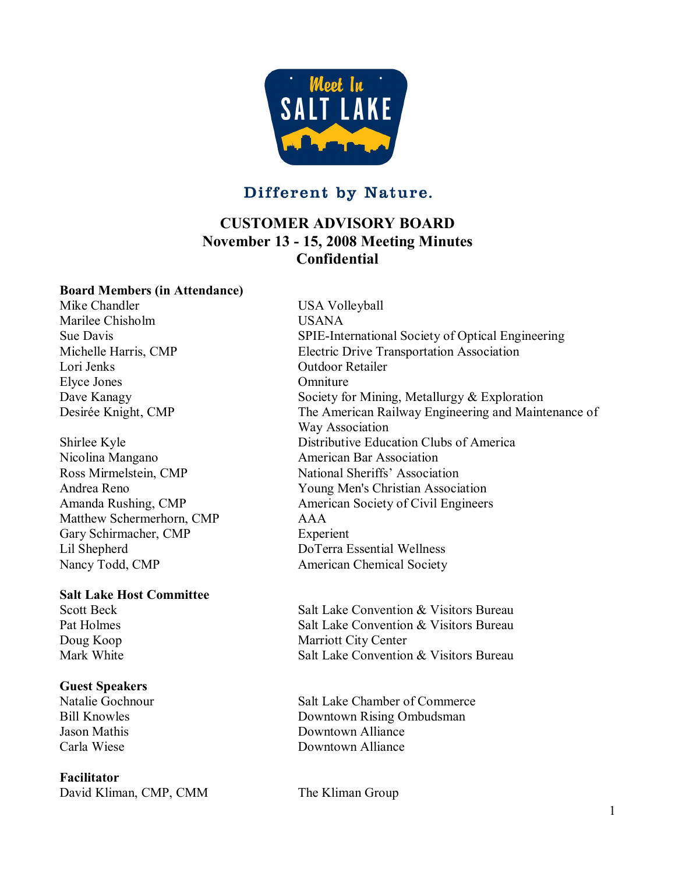

# Different by Nature.

# **CUSTOMER ADVISORY BOARD November 13 15, 2008 Meeting Minutes Confidential**

#### **Board Members (in Attendance)**

Mike Chandler USA Volleyball Marilee Chisholm USANA Lori Jenks Outdoor Retailer Elyce Jones Omniture

Nicolina Mangano **American Bar Association** Matthew Schermerhorn, CMP AAA Gary Schirmacher, CMP<br>
Lil Shepherd<br>
DoTerra E Nancy Todd, CMP American Chemical Society

# **Salt Lake Host Committee**

# **Guest Speakers**

#### **Facilitator**

David Kliman, CMP, CMM The Kliman Group

Sue Davis SPIE-International Society of Optical Engineering Michelle Harris, CMP Electric Drive Transportation Association Dave Kanagy Society for Mining, Metallurgy & Exploration Desirée Knight, CMP The American Railway Engineering and Maintenance of Way Association Shirlee Kyle Distributive Education Clubs of America Ross Mirmelstein, CMP National Sheriffs' Association Andrea Reno Young Men's Christian Association Amanda Rushing, CMP American Society of Civil Engineers DoTerra Essential Wellness

Scott Beck Salt Lake Convention & Visitors Bureau Pat Holmes Salt Lake Convention & Visitors Bureau Doug Koop Marriott City Center Mark White **Salt Lake Convention & Visitors Bureau** 

Salt Lake Chamber of Commerce Bill Knowles **Downtown Rising Ombudsman** Jason Mathis Downtown Alliance Carla Wiese Downtown Alliance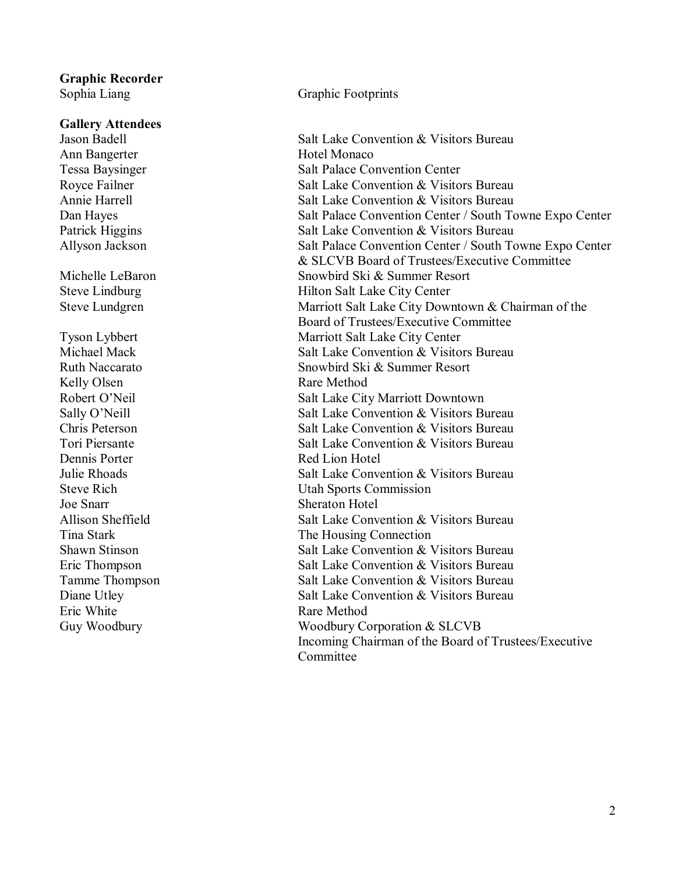# **Graphic Recorder**

**Gallery Attendees** Ann Bangerter **Hotel Monaco** Kelly Olsen Rare Method Dennis Porter Red Lion Hotel Joe Snarr Sheraton Hotel Eric White **Rare Method** 

#### Sophia Liang Graphic Footprints

Jason Badell Salt Lake Convention & Visitors Bureau Tessa Baysinger Salt Palace Convention Center Royce Failner **Salt Lake Convention & Visitors Bureau** Annie Harrell Salt Lake Convention & Visitors Bureau<br>Dan Hayes Salt Palace Convention Center / South To Salt Palace Convention Center / South Towne Expo Center Patrick Higgins Salt Lake Convention & Visitors Bureau Allyson Jackson Salt Palace Convention Center / South Towne Expo Center & SLCVB Board of Trustees/Executive Committee Michelle LeBaron Snowbird Ski & Summer Resort Steve Lindburg Hilton Salt Lake City Center Steve Lundgren Marriott Salt Lake City Downtown & Chairman of the Board of Trustees/Executive Committee Tyson Lybbert Marriott Salt Lake City Center<br>Michael Mack Salt Lake Convention & Visito Salt Lake Convention & Visitors Bureau Ruth Naccarato Snowbird Ski & Summer Resort Robert O'Neil Salt Lake City Marriott Downtown Sally O'Neill Salt Lake Convention & Visitors Bureau Chris Peterson Salt Lake Convention & Visitors Bureau Tori Piersante Salt Lake Convention & Visitors Bureau Julie Rhoads Salt Lake Convention & Visitors Bureau Steve Rich Utah Sports Commission Allison Sheffield Salt Lake Convention & Visitors Bureau Tina Stark Tina Stark The Housing Connection Shawn Stinson Subsetted Salt Lake Convention & Visitors Bureau Eric Thompson Salt Lake Convention & Visitors Bureau Tamme Thompson Salt Lake Convention & Visitors Bureau Diane Utley Salt Lake Convention & Visitors Bureau Guy Woodbury **Communisty** Woodbury Corporation & SLCVB Incoming Chairman of the Board of Trustees/Executive Committee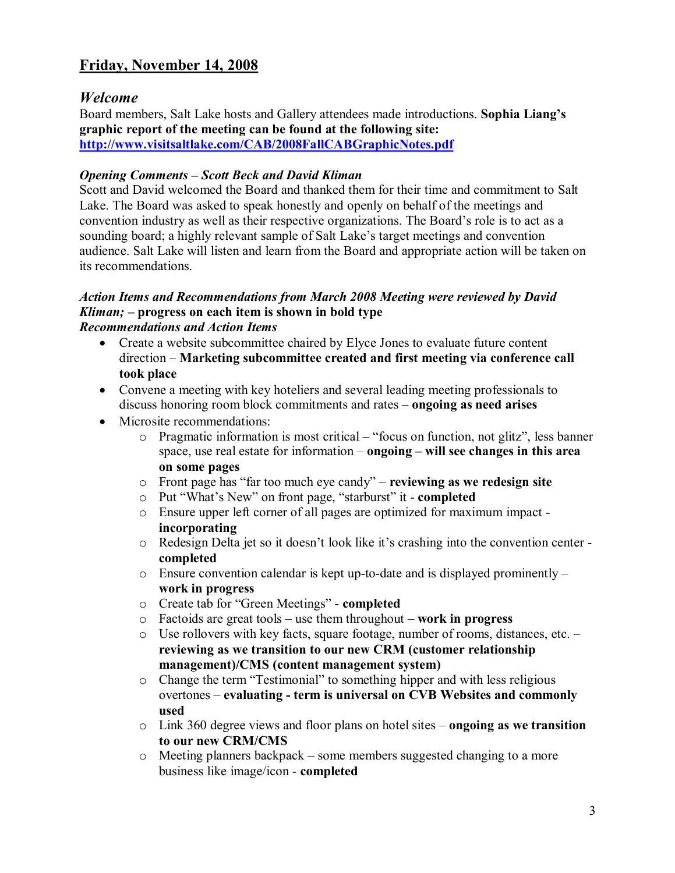# **Friday, November 14, 2008**

# *Welcome*

Board members, Salt Lake hosts and Gallery attendees made introductions. **Sophia Liang's graphic report of the meeting can be found at the following site: <http://www.visitsaltlake.com/CAB/2008FallCABGraphicNotes.pdf>**

#### *Opening Comments – Scott Beck and David Kliman*

Scott and David welcomed the Board and thanked them for their time and commitment to Salt Lake. The Board was asked to speak honestly and openly on behalf of the meetings and convention industry as well as their respective organizations. The Board's role is to act as a sounding board; a highly relevant sample of Salt Lake's target meetings and convention audience. Salt Lake will listen and learn from the Board and appropriate action will be taken on its recommendations.

#### *Action Items and Recommendations from March 2008 Meeting were reviewed by David Kliman; –* **progress on each item is shown in bold type** *Recommendations and Action Items*

- · Create a website subcommittee chaired by Elyce Jones to evaluate future content direction – **Marketing subcommittee created and first meeting via conference call took place**
- · Convene a meeting with key hoteliers and several leading meeting professionals to discuss honoring room block commitments and rates – **ongoing as need arises**
- Microsite recommendations:
	- o Pragmatic information is most critical "focus on function, not glitz", less banner space, use real estate for information – **ongoing – will see changes in this area on some pages**
	- o Front page has "far too much eye candy" **reviewing as we redesign site**
	- o Put "What's New" on front page, "starburst" it **completed**
	- o Ensure upper left corner of all pages are optimized for maximum impact **incorporating**
	- o Redesign Delta jet so it doesn't look like it's crashing into the convention center **completed**
	- $\circ$  Ensure convention calendar is kept up-to-date and is displayed prominently **work in progress**
	- o Create tab for "Green Meetings" **completed**
	- o Factoids are great tools use them throughout **work in progress**
	- o Use rollovers with key facts, square footage, number of rooms, distances, etc. **reviewing as we transition to our new CRM (customer relationship management)/CMS (content management system)**
	- o Change the term "Testimonial" to something hipper and with less religious overtones – **evaluating term is universal on CVB Websites and commonly used**
	- o Link 360 degree views and floor plans on hotel sites **ongoing as we transition to our new CRM/CMS**
	- o Meeting planners backpack some members suggested changing to a more business like image/icon **completed**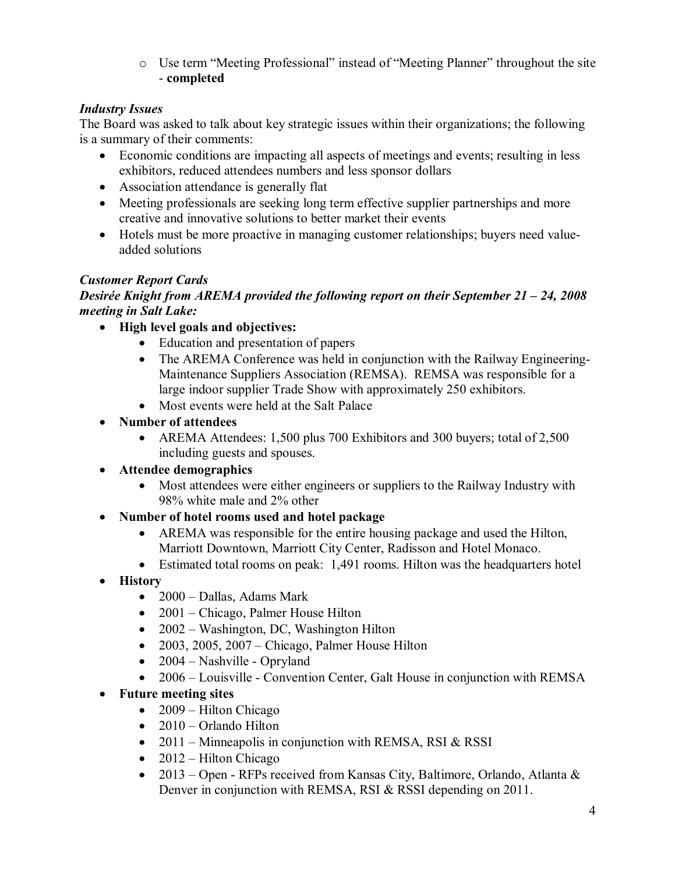o Use term "Meeting Professional" instead of "Meeting Planner" throughout the site **completed**

# *Industry Issues*

The Board was asked to talk about key strategic issues within their organizations; the following is a summary of their comments:

- · Economic conditions are impacting all aspects of meetings and events; resulting in less exhibitors, reduced attendees numbers and less sponsor dollars
- Association attendance is generally flat
- Meeting professionals are seeking long term effective supplier partnerships and more creative and innovative solutions to better market their events
- Hotels must be more proactive in managing customer relationships; buyers need valueadded solutions

# *Customer Report Cards*

# *Desirée Knight from AREMA provided the following report on their September 21 – 24, 2008 meeting in Salt Lake:*

- · **High level goals and objectives:**
	- · Education and presentation of papers
	- The AREMA Conference was held in conjunction with the Railway Engineering-Maintenance Suppliers Association (REMSA). REMSA was responsible for a large indoor supplier Trade Show with approximately 250 exhibitors.
	- · Most events were held at the Salt Palace
- · **Number of attendees**
	- AREMA Attendees: 1,500 plus 700 Exhibitors and 300 buyers; total of 2,500 including guests and spouses.
- · **Attendee demographics**
	- · Most attendees were either engineers or suppliers to the Railway Industry with 98% white male and 2% other
- · **Number of hotel rooms used and hotel package**
	- · AREMA was responsible for the entire housing package and used the Hilton, Marriott Downtown, Marriott City Center, Radisson and Hotel Monaco.
	- Estimated total rooms on peak: 1,491 rooms. Hilton was the headquarters hotel
- · **History**
	- 2000 Dallas, Adams Mark
	- 2001 Chicago, Palmer House Hilton
	- 2002 Washington, DC, Washington Hilton
	- 2003, 2005, 2007 Chicago, Palmer House Hilton
	- $2004 Nashville Oprvland$
	- 2006 Louisville Convention Center, Galt House in conjunction with REMSA
- · **Future meeting sites**
	- $\bullet$  2009 Hilton Chicago
	- $\bullet$  2010 Orlando Hilton
	- 2011 Minneapolis in conjunction with REMSA, RSI & RSSI
	- $2012$  Hilton Chicago
	- 2013 Open RFPs received from Kansas City, Baltimore, Orlando, Atlanta  $\&$ Denver in conjunction with REMSA, RSI & RSSI depending on 2011.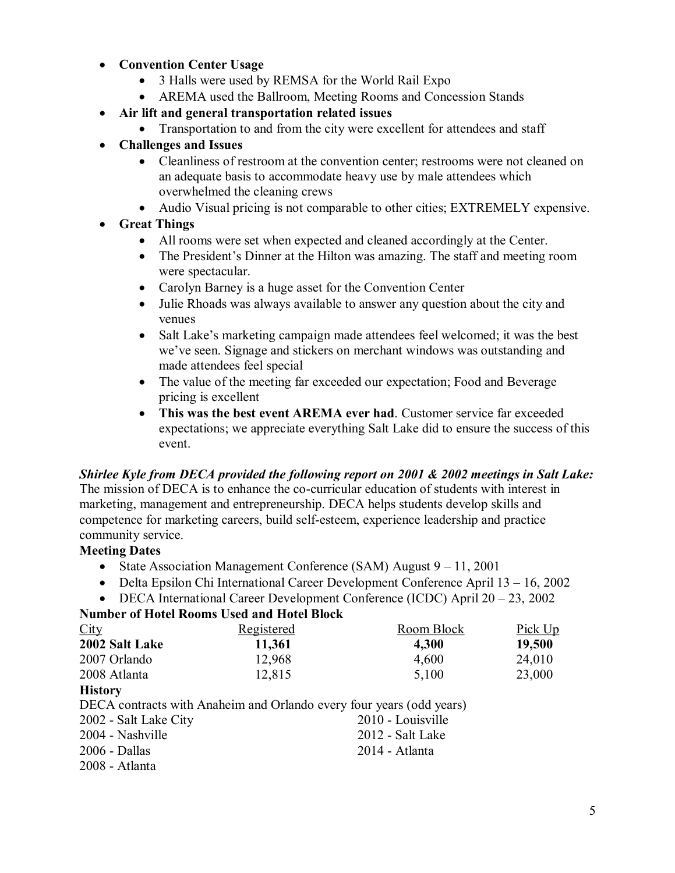#### · **Convention Center Usage**

- · 3 Halls were used by REMSA for the World Rail Expo
- AREMA used the Ballroom, Meeting Rooms and Concession Stands
- · **Air lift and general transportation related issues**
	- Transportation to and from the city were excellent for attendees and staff
- · **Challenges and Issues**
	- Cleanliness of restroom at the convention center; restrooms were not cleaned on an adequate basis to accommodate heavy use by male attendees which overwhelmed the cleaning crews
	- · Audio Visual pricing is not comparable to other cities; EXTREMELY expensive.
- · **Great Things**
	- · All rooms were set when expected and cleaned accordingly at the Center.
	- The President's Dinner at the Hilton was amazing. The staff and meeting room were spectacular.
	- · Carolyn Barney is a huge asset for the Convention Center
	- · Julie Rhoads was always available to answer any question about the city and venues
	- Salt Lake's marketing campaign made attendees feel welcomed; it was the best we've seen. Signage and stickers on merchant windows was outstanding and made attendees feel special
	- The value of the meeting far exceeded our expectation; Food and Beverage pricing is excellent
	- · **This was the best event AREMA ever had**. Customer service far exceeded expectations; we appreciate everything Salt Lake did to ensure the success of this event.

#### *Shirlee Kyle from DECA provided the following report on 2001 & 2002 meetings in Salt Lake:*

The mission of DECA is to enhance the co-curricular education of students with interest in marketing, management and entrepreneurship. DECA helps students develop skills and competence for marketing careers, build selfesteem, experience leadership and practice community service.

#### **Meeting Dates**

- State Association Management Conference (SAM) August 9 11, 2001
- · Delta Epsilon Chi International Career Development Conference April 13 16, 2002
- · DECA International Career Development Conference (ICDC) April 20 23, 2002

#### **Number of Hotel Rooms Used and Hotel Block**

| City                    | Registered                                                           | Room Block | Pick Up |
|-------------------------|----------------------------------------------------------------------|------------|---------|
| 2002 Salt Lake          | 11,361                                                               | 4,300      | 19,500  |
| 2007 Orlando            | 12,968                                                               | 4,600      | 24,010  |
| 2008 Atlanta            | 12,815                                                               | 5,100      | 23,000  |
| <b>History</b>          |                                                                      |            |         |
|                         | DECA contracts with Anaheim and Orlando every four years (odd years) |            |         |
| 2002 - Salt Lake City   | 2010 - Louisville                                                    |            |         |
| 2004 - Nashville        | 2012 - Salt Lake                                                     |            |         |
| $2006 - Dallas$         | 2014 - Atlanta                                                       |            |         |
| $2008 - \text{Atlanta}$ |                                                                      |            |         |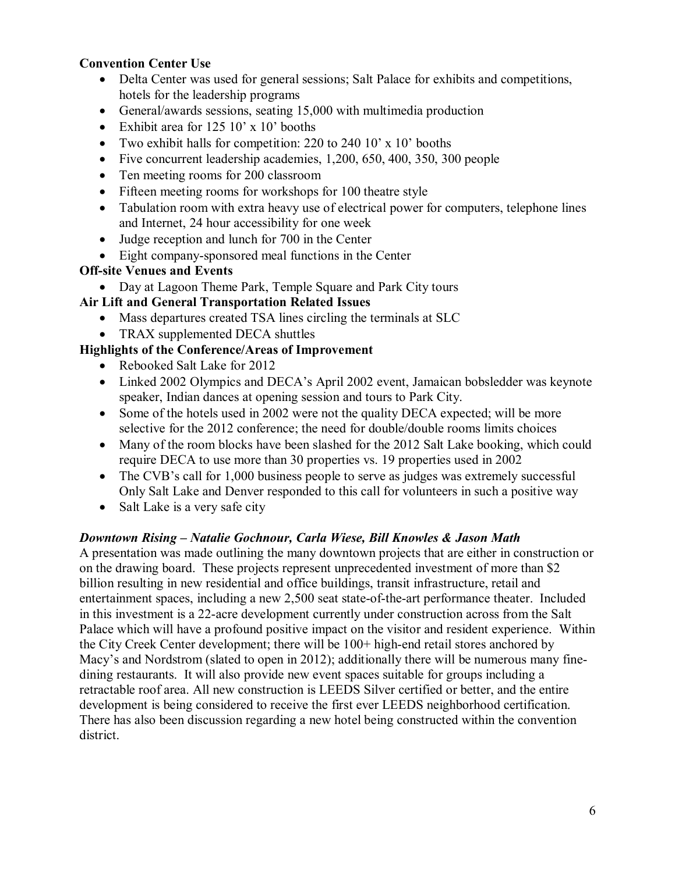### **Convention Center Use**

- Delta Center was used for general sessions; Salt Palace for exhibits and competitions, hotels for the leadership programs
- General/awards sessions, seating 15,000 with multimedia production
- Exhibit area for 125 10' x 10' booths
- Two exhibit halls for competition: 220 to 240 10' x 10' booths
- Five concurrent leadership academies, 1,200, 650, 400, 350, 300 people
- Ten meeting rooms for 200 classroom
- Fifteen meeting rooms for workshops for 100 theatre style
- Tabulation room with extra heavy use of electrical power for computers, telephone lines and Internet, 24 hour accessibility for one week
- Judge reception and lunch for 700 in the Center
- Eight company-sponsored meal functions in the Center

### **Off-site Venues and Events**

• Day at Lagoon Theme Park, Temple Square and Park City tours

## **Air Lift and General Transportation Related Issues**

- Mass departures created TSA lines circling the terminals at SLC
- TRAX supplemented DECA shuttles

## **Highlights of the Conference/Areas of Improvement**

- · Rebooked Salt Lake for 2012
- · Linked 2002 Olympics and DECA's April 2002 event, Jamaican bobsledder was keynote speaker, Indian dances at opening session and tours to Park City.
- Some of the hotels used in 2002 were not the quality DECA expected; will be more selective for the 2012 conference; the need for double/double rooms limits choices
- Many of the room blocks have been slashed for the 2012 Salt Lake booking, which could require DECA to use more than 30 properties vs. 19 properties used in 2002
- The CVB's call for 1,000 business people to serve as judges was extremely successful Only Salt Lake and Denver responded to this call for volunteers in such a positive way
- Salt Lake is a very safe city

#### *Downtown Rising – Natalie Gochnour, Carla Wiese, Bill Knowles & Jason Math*

A presentation was made outlining the many downtown projects that are either in construction or on the drawing board. These projects represent unprecedented investment of more than \$2 billion resulting in new residential and office buildings, transit infrastructure, retail and entertainment spaces, including a new 2,500 seat state-of-the-art performance theater. Included in this investment is a 22-acre development currently under construction across from the Salt Palace which will have a profound positive impact on the visitor and resident experience. Within the City Creek Center development; there will be  $100+$  high-end retail stores anchored by Macy's and Nordstrom (slated to open in 2012); additionally there will be numerous many finedining restaurants. It will also provide new event spaces suitable for groups including a retractable roof area. All new construction is LEEDS Silver certified or better, and the entire development is being considered to receive the first ever LEEDS neighborhood certification. There has also been discussion regarding a new hotel being constructed within the convention district.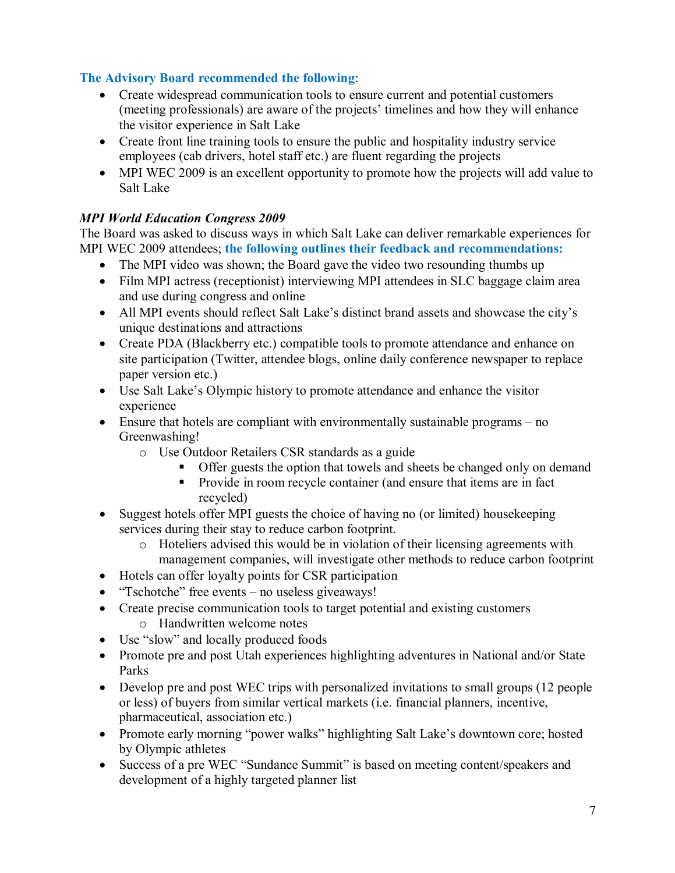# **The Advisory Board recommended the following**:

- · Create widespread communication tools to ensure current and potential customers (meeting professionals) are aware of the projects' timelines and how they will enhance the visitor experience in Salt Lake
- Create front line training tools to ensure the public and hospitality industry service employees (cab drivers, hotel staff etc.) are fluent regarding the projects
- MPI WEC 2009 is an excellent opportunity to promote how the projects will add value to Salt Lake

## *MPI World Education Congress 2009*

The Board was asked to discuss ways in which Salt Lake can deliver remarkable experiences for MPI WEC 2009 attendees; **the following outlines their feedback and recommendations:**

- The MPI video was shown; the Board gave the video two resounding thumbs up
- Film MPI actress (receptionist) interviewing MPI attendees in SLC baggage claim area and use during congress and online
- All MPI events should reflect Salt Lake's distinct brand assets and showcase the city's unique destinations and attractions
- · Create PDA (Blackberry etc.) compatible tools to promote attendance and enhance on site participation (Twitter, attendee blogs, online daily conference newspaper to replace paper version etc.)
- · Use Salt Lake's Olympic history to promote attendance and enhance the visitor experience
- Ensure that hotels are compliant with environmentally sustainable programs no Greenwashing!
	- o Use Outdoor Retailers CSR standards as a guide
		- Offer guests the option that towels and sheets be changed only on demand
		- **•** Provide in room recycle container (and ensure that items are in fact recycled)
- Suggest hotels offer MPI guests the choice of having no (or limited) house keeping services during their stay to reduce carbon footprint.
	- o Hoteliers advised this would be in violation of their licensing agreements with management companies, will investigate other methods to reduce carbon footprint
- · Hotels can offer loyalty points for CSR participation
- "Tschotche" free events no useless giveaways!
- Create precise communication tools to target potential and existing customers
	- o Handwritten welcome notes
- Use "slow" and locally produced foods
- Promote pre and post Utah experiences highlighting adventures in National and/or State Parks
- Develop pre and post WEC trips with personalized invitations to small groups (12 people) or less) of buyers from similar vertical markets (i.e. financial planners, incentive, pharmaceutical, association etc.)
- Promote early morning "power walks" highlighting Salt Lake's downtown core; hosted by Olympic athletes
- · Success of a pre WEC "Sundance Summit" is based on meeting content/speakers and development of a highly targeted planner list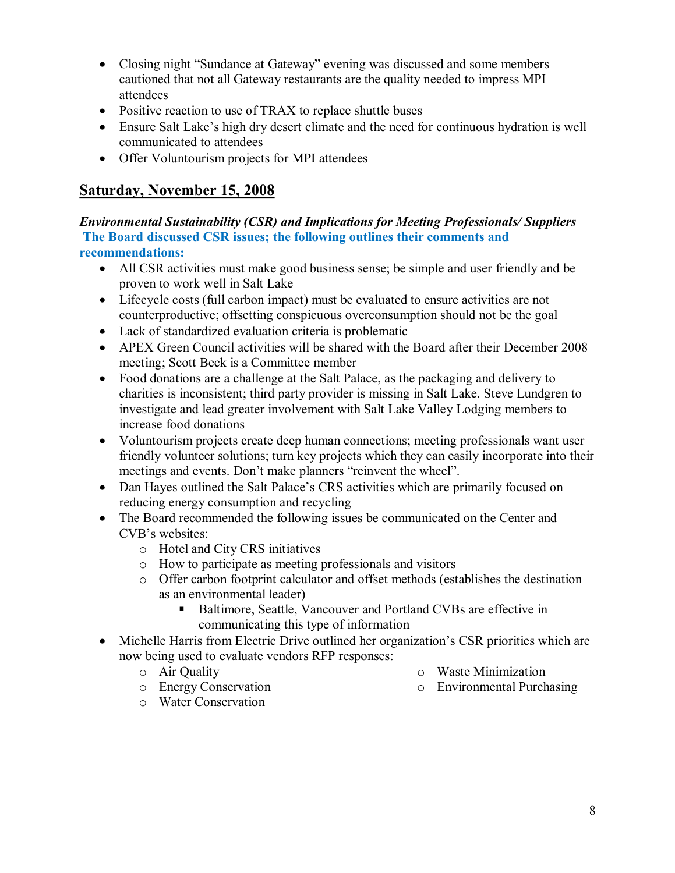- Closing night "Sundance at Gateway" evening was discussed and some members cautioned that not all Gateway restaurants are the quality needed to impress MPI attendees
- Positive reaction to use of TRAX to replace shuttle buses
- · Ensure Salt Lake's high dry desert climate and the need for continuous hydration is well communicated to attendees
- · Offer Voluntourism projects for MPI attendees

# **Saturday, November 15, 2008**

*Environmental Sustainability (CSR) and Implications for Meeting Professionals/ Suppliers* **The Board discussed CSR issues; the following outlines their comments and recommendations:**

- All CSR activities must make good business sense; be simple and user friendly and be proven to work well in Salt Lake
- Lifecycle costs (full carbon impact) must be evaluated to ensure activities are not counterproductive; offsetting conspicuous overconsumption should not be the goal
- · Lack of standardized evaluation criteria is problematic
- · APEX Green Council activities will be shared with the Board after their December 2008 meeting; Scott Beck is a Committee member
- · Food donations are a challenge at the Salt Palace, as the packaging and delivery to charities is inconsistent; third party provider is missing in Salt Lake. Steve Lundgren to investigate and lead greater involvement with Salt Lake Valley Lodging members to increase food donations
- Voluntourism projects create deep human connections; meeting professionals want user friendly volunteer solutions; turn key projects which they can easily incorporate into their meetings and events. Don't make planners "reinvent the wheel".
- Dan Hayes outlined the Salt Palace's CRS activities which are primarily focused on reducing energy consumption and recycling
- · The Board recommended the following issues be communicated on the Center and CVB's websites:
	- o Hotel and City CRS initiatives
	- o How to participate as meeting professionals and visitors
	- o Offer carbon footprint calculator and offset methods (establishes the destination as an environmental leader)
		- Baltimore, Seattle, Vancouver and Portland CVBs are effective in communicating this type of information
- Michelle Harris from Electric Drive outlined her organization's CSR priorities which are now being used to evaluate vendors RFP responses:
	- o Air Quality
- o Waste Minimization
- o Environmental Purchasing

o Energy Conservation o Water Conservation